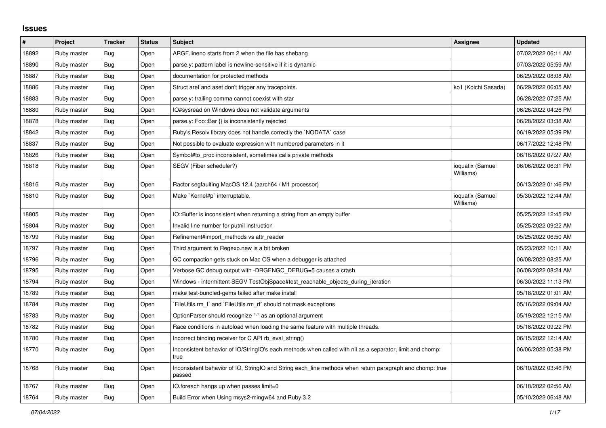## **Issues**

| $\sharp$ | Project     | <b>Tracker</b> | <b>Status</b> | <b>Subject</b>                                                                                                     | Assignee                      | <b>Updated</b>      |
|----------|-------------|----------------|---------------|--------------------------------------------------------------------------------------------------------------------|-------------------------------|---------------------|
| 18892    | Ruby master | <b>Bug</b>     | Open          | ARGF. lineno starts from 2 when the file has shebang                                                               |                               | 07/02/2022 06:11 AM |
| 18890    | Ruby master | <b>Bug</b>     | Open          | parse.y: pattern label is newline-sensitive if it is dynamic                                                       |                               | 07/03/2022 05:59 AM |
| 18887    | Ruby master | Bug            | Open          | documentation for protected methods                                                                                |                               | 06/29/2022 08:08 AM |
| 18886    | Ruby master | Bug            | Open          | Struct aref and aset don't trigger any tracepoints.                                                                | ko1 (Koichi Sasada)           | 06/29/2022 06:05 AM |
| 18883    | Ruby master | Bug            | Open          | parse y: trailing comma cannot coexist with star                                                                   |                               | 06/28/2022 07:25 AM |
| 18880    | Ruby master | Bug            | Open          | IO#sysread on Windows does not validate arguments                                                                  |                               | 06/26/2022 04:26 PM |
| 18878    | Ruby master | Bug            | Open          | parse.y: Foo::Bar $\{\}$ is inconsistently rejected                                                                |                               | 06/28/2022 03:38 AM |
| 18842    | Ruby master | Bug            | Open          | Ruby's Resolv library does not handle correctly the `NODATA` case                                                  |                               | 06/19/2022 05:39 PM |
| 18837    | Ruby master | Bug            | Open          | Not possible to evaluate expression with numbered parameters in it                                                 |                               | 06/17/2022 12:48 PM |
| 18826    | Ruby master | <b>Bug</b>     | Open          | Symbol#to_proc inconsistent, sometimes calls private methods                                                       |                               | 06/16/2022 07:27 AM |
| 18818    | Ruby master | <b>Bug</b>     | Open          | SEGV (Fiber scheduler?)                                                                                            | ioquatix (Samuel<br>Williams) | 06/06/2022 06:31 PM |
| 18816    | Ruby master | Bug            | Open          | Ractor segfaulting MacOS 12.4 (aarch64 / M1 processor)                                                             |                               | 06/13/2022 01:46 PM |
| 18810    | Ruby master | Bug            | Open          | Make `Kernel#p` interruptable.                                                                                     | ioquatix (Samuel<br>Williams) | 05/30/2022 12:44 AM |
| 18805    | Ruby master | Bug            | Open          | IO::Buffer is inconsistent when returning a string from an empty buffer                                            |                               | 05/25/2022 12:45 PM |
| 18804    | Ruby master | <b>Bug</b>     | Open          | Invalid line number for putnil instruction                                                                         |                               | 05/25/2022 09:22 AM |
| 18799    | Ruby master | Bug            | Open          | Refinement#import_methods vs attr_reader                                                                           |                               | 05/25/2022 06:50 AM |
| 18797    | Ruby master | Bug            | Open          | Third argument to Regexp.new is a bit broken                                                                       |                               | 05/23/2022 10:11 AM |
| 18796    | Ruby master | Bug            | Open          | GC compaction gets stuck on Mac OS when a debugger is attached                                                     |                               | 06/08/2022 08:25 AM |
| 18795    | Ruby master | <b>Bug</b>     | Open          | Verbose GC debug output with -DRGENGC_DEBUG=5 causes a crash                                                       |                               | 06/08/2022 08:24 AM |
| 18794    | Ruby master | Bug            | Open          | Windows - intermittent SEGV TestObjSpace#test_reachable_objects_during_iteration                                   |                               | 06/30/2022 11:13 PM |
| 18789    | Ruby master | Bug            | Open          | make test-bundled-gems failed after make install                                                                   |                               | 05/18/2022 01:01 AM |
| 18784    | Ruby master | Bug            | Open          | FileUtils.rm f and `FileUtils.rm rf should not mask exceptions                                                     |                               | 05/16/2022 09:04 AM |
| 18783    | Ruby master | Bug            | Open          | OptionParser should recognize "-" as an optional argument                                                          |                               | 05/19/2022 12:15 AM |
| 18782    | Ruby master | Bug            | Open          | Race conditions in autoload when loading the same feature with multiple threads.                                   |                               | 05/18/2022 09:22 PM |
| 18780    | Ruby master | Bug            | Open          | Incorrect binding receiver for C API rb_eval_string()                                                              |                               | 06/15/2022 12:14 AM |
| 18770    | Ruby master | <b>Bug</b>     | Open          | Inconsistent behavior of IO/StringIO's each methods when called with nil as a separator, limit and chomp:<br>true  |                               | 06/06/2022 05:38 PM |
| 18768    | Ruby master | Bug            | Open          | Inconsistent behavior of IO, StringIO and String each line methods when return paragraph and chomp: true<br>passed |                               | 06/10/2022 03:46 PM |
| 18767    | Ruby master | <b>Bug</b>     | Open          | IO.foreach hangs up when passes limit=0                                                                            |                               | 06/18/2022 02:56 AM |
| 18764    | Ruby master | <b>Bug</b>     | Open          | Build Error when Using msys2-mingw64 and Ruby 3.2                                                                  |                               | 05/10/2022 06:48 AM |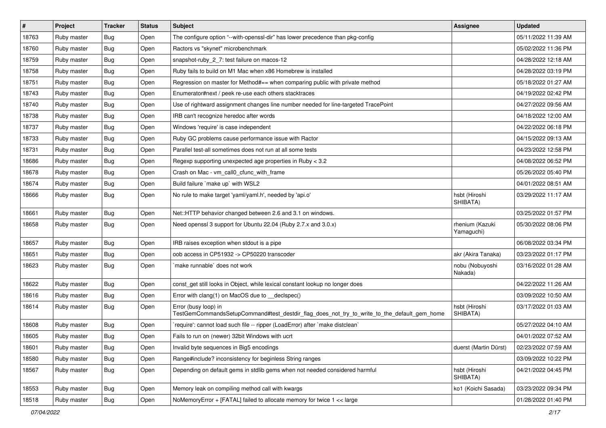| $\vert$ # | Project     | <b>Tracker</b> | <b>Status</b> | Subject                                                                                                             | <b>Assignee</b>               | <b>Updated</b>      |
|-----------|-------------|----------------|---------------|---------------------------------------------------------------------------------------------------------------------|-------------------------------|---------------------|
| 18763     | Ruby master | Bug            | Open          | The configure option "--with-openssl-dir" has lower precedence than pkg-config                                      |                               | 05/11/2022 11:39 AM |
| 18760     | Ruby master | Bug            | Open          | Ractors vs "skynet" microbenchmark                                                                                  |                               | 05/02/2022 11:36 PM |
| 18759     | Ruby master | Bug            | Open          | snapshot-ruby_2_7: test failure on macos-12                                                                         |                               | 04/28/2022 12:18 AM |
| 18758     | Ruby master | <b>Bug</b>     | Open          | Ruby fails to build on M1 Mac when x86 Homebrew is installed                                                        |                               | 04/28/2022 03:19 PM |
| 18751     | Ruby master | <b>Bug</b>     | Open          | Regression on master for Method#== when comparing public with private method                                        |                               | 05/18/2022 01:27 AM |
| 18743     | Ruby master | Bug            | Open          | Enumerator#next / peek re-use each others stacktraces                                                               |                               | 04/19/2022 02:42 PM |
| 18740     | Ruby master | Bug            | Open          | Use of rightward assignment changes line number needed for line-targeted TracePoint                                 |                               | 04/27/2022 09:56 AM |
| 18738     | Ruby master | Bug            | Open          | IRB can't recognize heredoc after words                                                                             |                               | 04/18/2022 12:00 AM |
| 18737     | Ruby master | Bug            | Open          | Windows 'require' is case independent                                                                               |                               | 04/22/2022 06:18 PM |
| 18733     | Ruby master | <b>Bug</b>     | Open          | Ruby GC problems cause performance issue with Ractor                                                                |                               | 04/15/2022 09:13 AM |
| 18731     | Ruby master | Bug            | Open          | Parallel test-all sometimes does not run at all some tests                                                          |                               | 04/23/2022 12:58 PM |
| 18686     | Ruby master | <b>Bug</b>     | Open          | Regexp supporting unexpected age properties in Ruby < 3.2                                                           |                               | 04/08/2022 06:52 PM |
| 18678     | Ruby master | <b>Bug</b>     | Open          | Crash on Mac - vm_call0_cfunc_with_frame                                                                            |                               | 05/26/2022 05:40 PM |
| 18674     | Ruby master | Bug            | Open          | Build failure `make up` with WSL2                                                                                   |                               | 04/01/2022 08:51 AM |
| 18666     | Ruby master | Bug            | Open          | No rule to make target 'yaml/yaml.h', needed by 'api.o'                                                             | hsbt (Hiroshi<br>SHIBATA)     | 03/29/2022 11:17 AM |
| 18661     | Ruby master | <b>Bug</b>     | Open          | Net::HTTP behavior changed between 2.6 and 3.1 on windows.                                                          |                               | 03/25/2022 01:57 PM |
| 18658     | Ruby master | <b>Bug</b>     | Open          | Need openssl 3 support for Ubuntu 22.04 (Ruby 2.7.x and 3.0.x)                                                      | rhenium (Kazuki<br>Yamaguchi) | 05/30/2022 08:06 PM |
| 18657     | Ruby master | <b>Bug</b>     | Open          | IRB raises exception when stdout is a pipe                                                                          |                               | 06/08/2022 03:34 PM |
| 18651     | Ruby master | <b>Bug</b>     | Open          | oob access in CP51932 -> CP50220 transcoder                                                                         | akr (Akira Tanaka)            | 03/23/2022 01:17 PM |
| 18623     | Ruby master | Bug            | Open          | `make runnable` does not work                                                                                       | nobu (Nobuyoshi<br>Nakada)    | 03/16/2022 01:28 AM |
| 18622     | Ruby master | <b>Bug</b>     | Open          | const_get still looks in Object, while lexical constant lookup no longer does                                       |                               | 04/22/2022 11:26 AM |
| 18616     | Ruby master | Bug            | Open          | Error with clang(1) on MacOS due to _declspec()                                                                     |                               | 03/09/2022 10:50 AM |
| 18614     | Ruby master | <b>Bug</b>     | Open          | Error (busy loop) in<br>TestGemCommandsSetupCommand#test_destdir_flag_does_not_try_to_write_to_the_default_gem_home | hsbt (Hiroshi<br>SHIBATA)     | 03/17/2022 01:03 AM |
| 18608     | Ruby master | Bug            | Open          | 'require': cannot load such file -- ripper (LoadError) after 'make distclean'                                       |                               | 05/27/2022 04:10 AM |
| 18605     | Ruby master | <b>Bug</b>     | Open          | Fails to run on (newer) 32bit Windows with ucrt                                                                     |                               | 04/01/2022 07:52 AM |
| 18601     | Ruby master | <b>Bug</b>     | Open          | Invalid byte sequences in Big5 encodings                                                                            | duerst (Martin Dürst)         | 02/23/2022 07:59 AM |
| 18580     | Ruby master | <b>Bug</b>     | Open          | Range#include? inconsistency for beginless String ranges                                                            |                               | 03/09/2022 10:22 PM |
| 18567     | Ruby master | Bug            | Open          | Depending on default gems in stdlib gems when not needed considered harmful                                         | hsbt (Hiroshi<br>SHIBATA)     | 04/21/2022 04:45 PM |
| 18553     | Ruby master | <b>Bug</b>     | Open          | Memory leak on compiling method call with kwargs                                                                    | ko1 (Koichi Sasada)           | 03/23/2022 09:34 PM |
| 18518     | Ruby master | Bug            | Open          | NoMemoryError + [FATAL] failed to allocate memory for twice 1 << large                                              |                               | 01/28/2022 01:40 PM |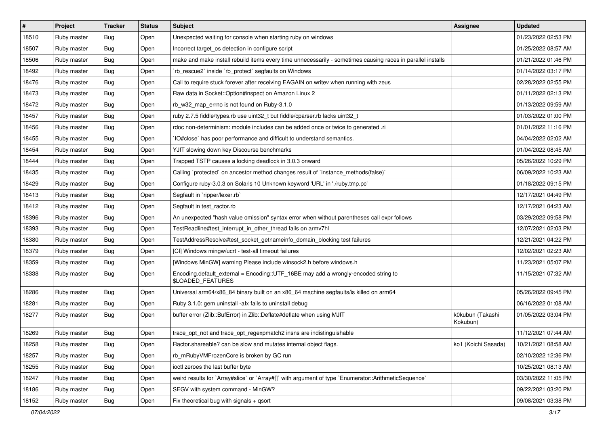| $\vert$ # | Project     | <b>Tracker</b> | <b>Status</b> | <b>Subject</b>                                                                                              | <b>Assignee</b>              | <b>Updated</b>      |
|-----------|-------------|----------------|---------------|-------------------------------------------------------------------------------------------------------------|------------------------------|---------------------|
| 18510     | Ruby master | Bug            | Open          | Unexpected waiting for console when starting ruby on windows                                                |                              | 01/23/2022 02:53 PM |
| 18507     | Ruby master | Bug            | Open          | Incorrect target_os detection in configure script                                                           |                              | 01/25/2022 08:57 AM |
| 18506     | Ruby master | Bug            | Open          | make and make install rebuild items every time unnecessarily - sometimes causing races in parallel installs |                              | 01/21/2022 01:46 PM |
| 18492     | Ruby master | <b>Bug</b>     | Open          | `rb_rescue2` inside `rb_protect` segfaults on Windows                                                       |                              | 01/14/2022 03:17 PM |
| 18476     | Ruby master | Bug            | Open          | Call to require stuck forever after receiving EAGAIN on writev when running with zeus                       |                              | 02/28/2022 02:55 PM |
| 18473     | Ruby master | Bug            | Open          | Raw data in Socket:: Option#inspect on Amazon Linux 2                                                       |                              | 01/11/2022 02:13 PM |
| 18472     | Ruby master | Bug            | Open          | rb_w32_map_errno is not found on Ruby-3.1.0                                                                 |                              | 01/13/2022 09:59 AM |
| 18457     | Ruby master | Bug            | Open          | ruby 2.7.5 fiddle/types.rb use uint32_t but fiddle/cparser.rb lacks uint32_t                                |                              | 01/03/2022 01:00 PM |
| 18456     | Ruby master | <b>Bug</b>     | Open          | rdoc non-determinism: module includes can be added once or twice to generated .ri                           |                              | 01/01/2022 11:16 PM |
| 18455     | Ruby master | <b>Bug</b>     | Open          | IO#close` has poor performance and difficult to understand semantics.                                       |                              | 04/04/2022 02:02 AM |
| 18454     | Ruby master | <b>Bug</b>     | Open          | YJIT slowing down key Discourse benchmarks                                                                  |                              | 01/04/2022 08:45 AM |
| 18444     | Ruby master | <b>Bug</b>     | Open          | Trapped TSTP causes a locking deadlock in 3.0.3 onward                                                      |                              | 05/26/2022 10:29 PM |
| 18435     | Ruby master | <b>Bug</b>     | Open          | Calling `protected` on ancestor method changes result of `instance_methods(false)`                          |                              | 06/09/2022 10:23 AM |
| 18429     | Ruby master | Bug            | Open          | Configure ruby-3.0.3 on Solaris 10 Unknown keyword 'URL' in './ruby.tmp.pc'                                 |                              | 01/18/2022 09:15 PM |
| 18413     | Ruby master | Bug            | Open          | Segfault in 'ripper/lexer.rb'                                                                               |                              | 12/17/2021 04:49 PM |
| 18412     | Ruby master | <b>Bug</b>     | Open          | Segfault in test ractor.rb                                                                                  |                              | 12/17/2021 04:23 AM |
| 18396     | Ruby master | <b>Bug</b>     | Open          | An unexpected "hash value omission" syntax error when without parentheses call expr follows                 |                              | 03/29/2022 09:58 PM |
| 18393     | Ruby master | Bug            | Open          | TestReadline#test_interrupt_in_other_thread fails on armv7hl                                                |                              | 12/07/2021 02:03 PM |
| 18380     | Ruby master | Bug            | Open          | TestAddressResolve#test_socket_getnameinfo_domain_blocking test failures                                    |                              | 12/21/2021 04:22 PM |
| 18379     | Ruby master | Bug            | Open          | [CI] Windows mingw/ucrt - test-all timeout failures                                                         |                              | 12/02/2021 02:23 AM |
| 18359     | Ruby master | <b>Bug</b>     | Open          | [Windows MinGW] warning Please include winsock2.h before windows.h                                          |                              | 11/23/2021 05:07 PM |
| 18338     | Ruby master | <b>Bug</b>     | Open          | Encoding.default_external = Encoding::UTF_16BE may add a wrongly-encoded string to<br>\$LOADED_FEATURES     |                              | 11/15/2021 07:32 AM |
| 18286     | Ruby master | Bug            | Open          | Universal arm64/x86_84 binary built on an x86_64 machine segfaults/is killed on arm64                       |                              | 05/26/2022 09:45 PM |
| 18281     | Ruby master | <b>Bug</b>     | Open          | Ruby 3.1.0: gem uninstall -alx fails to uninstall debug                                                     |                              | 06/16/2022 01:08 AM |
| 18277     | Ruby master | Bug            | Open          | buffer error (Zlib::BufError) in Zlib::Deflate#deflate when using MJIT                                      | k0kubun (Takashi<br>Kokubun) | 01/05/2022 03:04 PM |
| 18269     | Ruby master | Bug            | Open          | trace_opt_not and trace_opt_regexpmatch2 insns are indistinguishable                                        |                              | 11/12/2021 07:44 AM |
| 18258     | Ruby master | Bug            | Open          | Ractor shareable? can be slow and mutates internal object flags.                                            | ko1 (Koichi Sasada)          | 10/21/2021 08:58 AM |
| 18257     | Ruby master | <b>Bug</b>     | Open          | rb_mRubyVMFrozenCore is broken by GC run                                                                    |                              | 02/10/2022 12:36 PM |
| 18255     | Ruby master | <b>Bug</b>     | Open          | ioctl zeroes the last buffer byte                                                                           |                              | 10/25/2021 08:13 AM |
| 18247     | Ruby master | Bug            | Open          | weird results for `Array#slice` or `Array#[]` with argument of type `Enumerator::ArithmeticSequence`        |                              | 03/30/2022 11:05 PM |
| 18186     | Ruby master | <b>Bug</b>     | Open          | SEGV with system command - MinGW?                                                                           |                              | 09/22/2021 03:20 PM |
| 18152     | Ruby master | Bug            | Open          | Fix theoretical bug with signals + qsort                                                                    |                              | 09/08/2021 03:38 PM |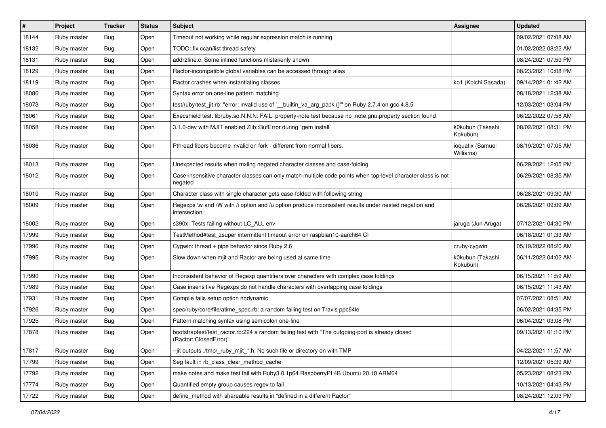| $\sharp$ | Project     | <b>Tracker</b> | <b>Status</b> | Subject                                                                                                                    | <b>Assignee</b>               | <b>Updated</b>      |
|----------|-------------|----------------|---------------|----------------------------------------------------------------------------------------------------------------------------|-------------------------------|---------------------|
| 18144    | Ruby master | Bug            | Open          | Timeout not working while regular expression match is running                                                              |                               | 09/02/2021 07:08 AM |
| 18132    | Ruby master | Bug            | Open          | TODO: fix ccan/list thread safety                                                                                          |                               | 01/02/2022 08:22 AM |
| 18131    | Ruby master | <b>Bug</b>     | Open          | addr2line.c: Some inlined functions mistakenly shown                                                                       |                               | 08/24/2021 07:59 PM |
| 18129    | Ruby master | <b>Bug</b>     | Open          | Ractor-incompatible global variables can be accessed through alias                                                         |                               | 08/23/2021 10:08 PM |
| 18119    | Ruby master | Bug            | Open          | Ractor crashes when instantiating classes                                                                                  | ko1 (Koichi Sasada)           | 09/14/2021 01:42 AM |
| 18080    | Ruby master | <b>Bug</b>     | Open          | Syntax error on one-line pattern matching                                                                                  |                               | 08/18/2021 12:38 AM |
| 18073    | Ruby master | Bug            | Open          | test/ruby/test_jit.rb: "error: invalid use of '__builtin_va_arg_pack ()" on Ruby 2.7.4 on gcc 4.8.5                        |                               | 12/03/2021 03:04 PM |
| 18061    | Ruby master | <b>Bug</b>     | Open          | Execshield test: libruby.so.N.N.N: FAIL: property-note test because no .note.gnu.property section found                    |                               | 06/22/2022 07:58 AM |
| 18058    | Ruby master | <b>Bug</b>     | Open          | 3.1.0-dev with MJIT enabled Zlib::BufError during `gem install`                                                            | k0kubun (Takashi<br>Kokubun)  | 08/02/2021 08:31 PM |
| 18036    | Ruby master | Bug            | Open          | Pthread fibers become invalid on fork - different from normal fibers.                                                      | ioquatix (Samuel<br>Williams) | 08/19/2021 07:05 AM |
| 18013    | Ruby master | Bug            | Open          | Unexpected results when mxiing negated character classes and case-folding                                                  |                               | 06/29/2021 12:05 PM |
| 18012    | Ruby master | <b>Bug</b>     | Open          | Case-insensitive character classes can only match multiple code points when top-level character class is not<br>negated    |                               | 06/29/2021 08:35 AM |
| 18010    | Ruby master | <b>Bug</b>     | Open          | Character class with single character gets case-folded with following string                                               |                               | 06/28/2021 09:30 AM |
| 18009    | Ruby master | <b>Bug</b>     | Open          | Regexps \w and \W with /i option and /u option produce inconsistent results under nested negation and<br>intersection      |                               | 06/28/2021 09:09 AM |
| 18002    | Ruby master | Bug            | Open          | s390x: Tests failing without LC_ALL env                                                                                    | jaruga (Jun Aruga)            | 07/12/2021 04:30 PM |
| 17999    | Ruby master | <b>Bug</b>     | Open          | TestMethod#test_zsuper intermittent timeout error on raspbian10-aarch64 CI                                                 |                               | 06/18/2021 01:33 AM |
| 17996    | Ruby master | Bug            | Open          | Cygwin: thread + pipe behavior since Ruby 2.6                                                                              | cruby-cygwin                  | 05/19/2022 08:20 AM |
| 17995    | Ruby master | Bug            | Open          | Slow down when mjit and Ractor are being used at same time                                                                 | k0kubun (Takashi<br>Kokubun)  | 06/11/2022 04:02 AM |
| 17990    | Ruby master | <b>Bug</b>     | Open          | Inconsistent behavior of Regexp quantifiers over characters with complex case foldings                                     |                               | 06/15/2021 11:59 AM |
| 17989    | Ruby master | <b>Bug</b>     | Open          | Case insensitive Regexps do not handle characters with overlapping case foldings                                           |                               | 06/15/2021 11:43 AM |
| 17931    | Ruby master | Bug            | Open          | Compile fails setup option nodynamic                                                                                       |                               | 07/07/2021 08:51 AM |
| 17926    | Ruby master | <b>Bug</b>     | Open          | spec/ruby/core/file/atime_spec.rb: a random failing test on Travis ppc64le                                                 |                               | 06/02/2021 04:35 PM |
| 17925    | Ruby master | Bug            | Open          | Pattern matching syntax using semicolon one-line                                                                           |                               | 06/04/2021 03:08 PM |
| 17878    | Ruby master | Bug            | Open          | bootstraptest/test_ractor.rb:224 a random failing test with "The outgoing-port is already closed<br>(Ractor::ClosedError)" |                               | 09/13/2021 01:10 PM |
| 17817    | Ruby master | Bug            | Open          | --jit outputs ./tmp/_ruby_mjit_*.h: No such file or directory on with TMP                                                  |                               | 04/22/2021 11:57 AM |
| 17799    | Ruby master | Bug            | Open          | Seg fault in rb_class_clear_method_cache                                                                                   |                               | 12/09/2021 05:39 AM |
| 17792    | Ruby master | <b>Bug</b>     | Open          | make notes and make test fail with Ruby3.0.1p64 RaspberryPI 4B Ubuntu 20.10 ARM64                                          |                               | 05/23/2021 08:23 PM |
| 17774    | Ruby master | <b>Bug</b>     | Open          | Quantified empty group causes regex to fail                                                                                |                               | 10/13/2021 04:43 PM |
| 17722    | Ruby master | Bug            | Open          | define_method with shareable results in "defined in a different Ractor"                                                    |                               | 08/24/2021 12:03 PM |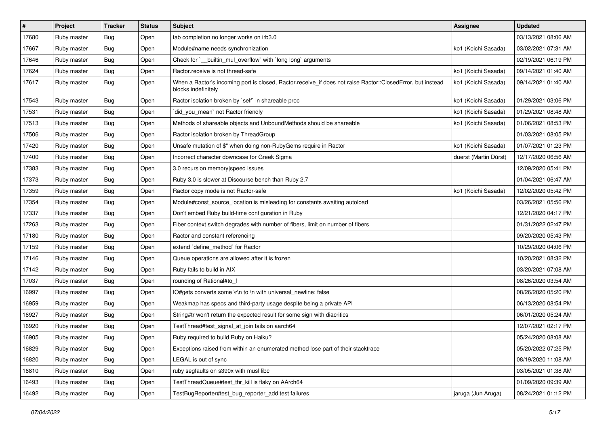| $\sharp$ | Project     | <b>Tracker</b> | <b>Status</b> | Subject                                                                                                                           | <b>Assignee</b>       | <b>Updated</b>      |
|----------|-------------|----------------|---------------|-----------------------------------------------------------------------------------------------------------------------------------|-----------------------|---------------------|
| 17680    | Ruby master | Bug            | Open          | tab completion no longer works on irb3.0                                                                                          |                       | 03/13/2021 08:06 AM |
| 17667    | Ruby master | Bug            | Open          | Module#name needs synchronization                                                                                                 | ko1 (Koichi Sasada)   | 03/02/2021 07:31 AM |
| 17646    | Ruby master | Bug            | Open          | Check for `__builtin_mul_overflow` with `long long` arguments                                                                     |                       | 02/19/2021 06:19 PM |
| 17624    | Ruby master | <b>Bug</b>     | Open          | Ractor.receive is not thread-safe                                                                                                 | ko1 (Koichi Sasada)   | 09/14/2021 01:40 AM |
| 17617    | Ruby master | Bug            | Open          | When a Ractor's incoming port is closed, Ractor.receive_if does not raise Ractor::ClosedError, but instead<br>blocks indefinitely | ko1 (Koichi Sasada)   | 09/14/2021 01:40 AM |
| 17543    | Ruby master | <b>Bug</b>     | Open          | Ractor isolation broken by `self` in shareable proc                                                                               | ko1 (Koichi Sasada)   | 01/29/2021 03:06 PM |
| 17531    | Ruby master | Bug            | Open          | did_you_mean' not Ractor friendly                                                                                                 | ko1 (Koichi Sasada)   | 01/29/2021 08:48 AM |
| 17513    | Ruby master | <b>Bug</b>     | Open          | Methods of shareable objects and UnboundMethods should be shareable                                                               | ko1 (Koichi Sasada)   | 01/06/2021 08:53 PM |
| 17506    | Ruby master | <b>Bug</b>     | Open          | Ractor isolation broken by ThreadGroup                                                                                            |                       | 01/03/2021 08:05 PM |
| 17420    | Ruby master | <b>Bug</b>     | Open          | Unsafe mutation of \$" when doing non-RubyGems require in Ractor                                                                  | ko1 (Koichi Sasada)   | 01/07/2021 01:23 PM |
| 17400    | Ruby master | <b>Bug</b>     | Open          | Incorrect character downcase for Greek Sigma                                                                                      | duerst (Martin Dürst) | 12/17/2020 06:56 AM |
| 17383    | Ruby master | Bug            | Open          | 3.0 recursion memory speed issues                                                                                                 |                       | 12/09/2020 05:41 PM |
| 17373    | Ruby master | <b>Bug</b>     | Open          | Ruby 3.0 is slower at Discourse bench than Ruby 2.7                                                                               |                       | 01/04/2021 06:47 AM |
| 17359    | Ruby master | Bug            | Open          | Ractor copy mode is not Ractor-safe                                                                                               | ko1 (Koichi Sasada)   | 12/02/2020 05:42 PM |
| 17354    | Ruby master | <b>Bug</b>     | Open          | Module#const_source_location is misleading for constants awaiting autoload                                                        |                       | 03/26/2021 05:56 PM |
| 17337    | Ruby master | <b>Bug</b>     | Open          | Don't embed Ruby build-time configuration in Ruby                                                                                 |                       | 12/21/2020 04:17 PM |
| 17263    | Ruby master | <b>Bug</b>     | Open          | Fiber context switch degrades with number of fibers, limit on number of fibers                                                    |                       | 01/31/2022 02:47 PM |
| 17180    | Ruby master | <b>Bug</b>     | Open          | Ractor and constant referencing                                                                                                   |                       | 09/20/2020 05:43 PM |
| 17159    | Ruby master | Bug            | Open          | extend `define_method` for Ractor                                                                                                 |                       | 10/29/2020 04:06 PM |
| 17146    | Ruby master | <b>Bug</b>     | Open          | Queue operations are allowed after it is frozen                                                                                   |                       | 10/20/2021 08:32 PM |
| 17142    | Ruby master | <b>Bug</b>     | Open          | Ruby fails to build in AIX                                                                                                        |                       | 03/20/2021 07:08 AM |
| 17037    | Ruby master | <b>Bug</b>     | Open          | rounding of Rational#to_f                                                                                                         |                       | 08/26/2020 03:54 AM |
| 16997    | Ruby master | <b>Bug</b>     | Open          | IO#gets converts some \r\n to \n with universal_newline: false                                                                    |                       | 08/26/2020 05:20 PM |
| 16959    | Ruby master | <b>Bug</b>     | Open          | Weakmap has specs and third-party usage despite being a private API                                                               |                       | 06/13/2020 08:54 PM |
| 16927    | Ruby master | <b>Bug</b>     | Open          | String#tr won't return the expected result for some sign with diacritics                                                          |                       | 06/01/2020 05:24 AM |
| 16920    | Ruby master | <b>Bug</b>     | Open          | TestThread#test_signal_at_join fails on aarch64                                                                                   |                       | 12/07/2021 02:17 PM |
| 16905    | Ruby master | <b>Bug</b>     | Open          | Ruby required to build Ruby on Haiku?                                                                                             |                       | 05/24/2020 08:08 AM |
| 16829    | Ruby master | <b>Bug</b>     | Open          | Exceptions raised from within an enumerated method lose part of their stacktrace                                                  |                       | 05/20/2022 07:25 PM |
| 16820    | Ruby master | <b>Bug</b>     | Open          | LEGAL is out of sync                                                                                                              |                       | 08/19/2020 11:08 AM |
| 16810    | Ruby master | <b>Bug</b>     | Open          | ruby segfaults on s390x with musl libc                                                                                            |                       | 03/05/2021 01:38 AM |
| 16493    | Ruby master | <b>Bug</b>     | Open          | TestThreadQueue#test_thr_kill is flaky on AArch64                                                                                 |                       | 01/09/2020 09:39 AM |
| 16492    | Ruby master | Bug            | Open          | TestBugReporter#test_bug_reporter_add test failures                                                                               | jaruga (Jun Aruga)    | 08/24/2021 01:12 PM |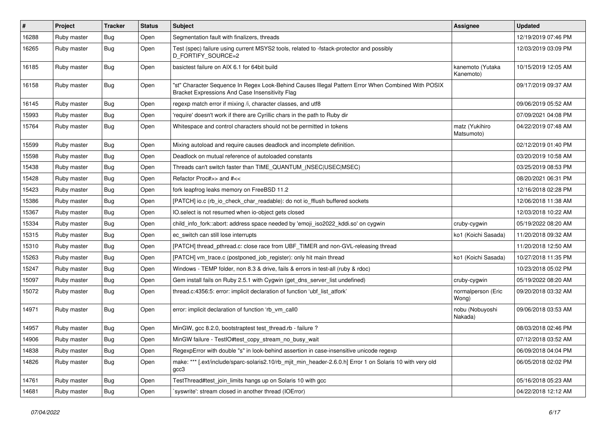| $\vert$ # | Project     | Tracker    | <b>Status</b> | Subject                                                                                                                                               | Assignee                      | <b>Updated</b>      |
|-----------|-------------|------------|---------------|-------------------------------------------------------------------------------------------------------------------------------------------------------|-------------------------------|---------------------|
| 16288     | Ruby master | Bug        | Open          | Segmentation fault with finalizers, threads                                                                                                           |                               | 12/19/2019 07:46 PM |
| 16265     | Ruby master | Bug        | Open          | Test (spec) failure using current MSYS2 tools, related to -fstack-protector and possibly<br>D_FORTIFY_SOURCE=2                                        |                               | 12/03/2019 03:09 PM |
| 16185     | Ruby master | Bug        | Open          | basictest failure on AIX 6.1 for 64bit build                                                                                                          | kanemoto (Yutaka<br>Kanemoto) | 10/15/2019 12:05 AM |
| 16158     | Ruby master | Bug        | Open          | 'st" Character Sequence In Regex Look-Behind Causes Illegal Pattern Error When Combined With POSIX<br>Bracket Expressions And Case Insensitivity Flag |                               | 09/17/2019 09:37 AM |
| 16145     | Ruby master | Bug        | Open          | regexp match error if mixing /i, character classes, and utf8                                                                                          |                               | 09/06/2019 05:52 AM |
| 15993     | Ruby master | <b>Bug</b> | Open          | 'require' doesn't work if there are Cyrillic chars in the path to Ruby dir                                                                            |                               | 07/09/2021 04:08 PM |
| 15764     | Ruby master | <b>Bug</b> | Open          | Whitespace and control characters should not be permitted in tokens                                                                                   | matz (Yukihiro<br>Matsumoto)  | 04/22/2019 07:48 AM |
| 15599     | Ruby master | <b>Bug</b> | Open          | Mixing autoload and require causes deadlock and incomplete definition.                                                                                |                               | 02/12/2019 01:40 PM |
| 15598     | Ruby master | Bug        | Open          | Deadlock on mutual reference of autoloaded constants                                                                                                  |                               | 03/20/2019 10:58 AM |
| 15438     | Ruby master | <b>Bug</b> | Open          | Threads can't switch faster than TIME_QUANTUM_(NSEC USEC MSEC)                                                                                        |                               | 03/25/2019 08:53 PM |
| 15428     | Ruby master | <b>Bug</b> | Open          | Refactor Proc#>> and #<<                                                                                                                              |                               | 08/20/2021 06:31 PM |
| 15423     | Ruby master | Bug        | Open          | fork leapfrog leaks memory on FreeBSD 11.2                                                                                                            |                               | 12/16/2018 02:28 PM |
| 15386     | Ruby master | Bug        | Open          | [PATCH] io.c (rb_io_check_char_readable): do not io_fflush buffered sockets                                                                           |                               | 12/06/2018 11:38 AM |
| 15367     | Ruby master | <b>Bug</b> | Open          | IO.select is not resumed when io-object gets closed                                                                                                   |                               | 12/03/2018 10:22 AM |
| 15334     | Ruby master | <b>Bug</b> | Open          | child_info_fork::abort: address space needed by 'emoji_iso2022_kddi.so' on cygwin                                                                     | cruby-cygwin                  | 05/19/2022 08:20 AM |
| 15315     | Ruby master | <b>Bug</b> | Open          | ec switch can still lose interrupts                                                                                                                   | ko1 (Koichi Sasada)           | 11/20/2018 09:32 AM |
| 15310     | Ruby master | <b>Bug</b> | Open          | [PATCH] thread_pthread.c: close race from UBF_TIMER and non-GVL-releasing thread                                                                      |                               | 11/20/2018 12:50 AM |
| 15263     | Ruby master | <b>Bug</b> | Open          | [PATCH] vm_trace.c (postponed_job_register): only hit main thread                                                                                     | ko1 (Koichi Sasada)           | 10/27/2018 11:35 PM |
| 15247     | Ruby master | <b>Bug</b> | Open          | Windows - TEMP folder, non 8.3 & drive, fails & errors in test-all (ruby & rdoc)                                                                      |                               | 10/23/2018 05:02 PM |
| 15097     | Ruby master | <b>Bug</b> | Open          | Gem install fails on Ruby 2.5.1 with Cygwin (get_dns_server_list undefined)                                                                           | cruby-cygwin                  | 05/19/2022 08:20 AM |
| 15072     | Ruby master | Bug        | Open          | thread.c:4356:5: error: implicit declaration of function 'ubf_list_atfork'                                                                            | normalperson (Eric<br>Wong)   | 09/20/2018 03:32 AM |
| 14971     | Ruby master | Bug        | Open          | error: implicit declaration of function 'rb_vm_call0                                                                                                  | nobu (Nobuyoshi<br>Nakada)    | 09/06/2018 03:53 AM |
| 14957     | Ruby master | Bug        | Open          | MinGW, gcc 8.2.0, bootstraptest test_thread.rb - failure ?                                                                                            |                               | 08/03/2018 02:46 PM |
| 14906     | Ruby master | Bug        | Open          | MinGW failure - TestlO#test_copy_stream_no_busy_wait                                                                                                  |                               | 07/12/2018 03:52 AM |
| 14838     | Ruby master | Bug        | Open          | RegexpError with double "s" in look-behind assertion in case-insensitive unicode regexp                                                               |                               | 06/09/2018 04:04 PM |
| 14826     | Ruby master | <b>Bug</b> | Open          | make: *** [.ext/include/sparc-solaris2.10/rb_mjit_min_header-2.6.0.h] Error 1 on Solaris 10 with very old<br>gcc3                                     |                               | 06/05/2018 02:02 PM |
| 14761     | Ruby master | Bug        | Open          | TestThread#test join limits hangs up on Solaris 10 with gcc                                                                                           |                               | 05/16/2018 05:23 AM |
| 14681     | Ruby master | <b>Bug</b> | Open          | syswrite': stream closed in another thread (IOError)                                                                                                  |                               | 04/22/2018 12:12 AM |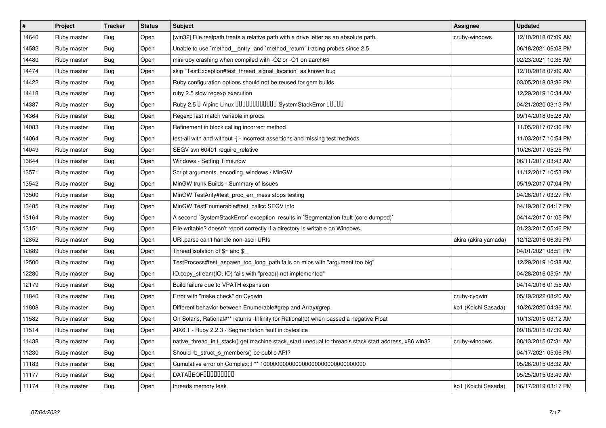| $\vert$ # | Project     | <b>Tracker</b> | <b>Status</b> | <b>Subject</b>                                                                                        | <b>Assignee</b>      | <b>Updated</b>      |
|-----------|-------------|----------------|---------------|-------------------------------------------------------------------------------------------------------|----------------------|---------------------|
| 14640     | Ruby master | Bug            | Open          | [win32] File.realpath treats a relative path with a drive letter as an absolute path.                 | cruby-windows        | 12/10/2018 07:09 AM |
| 14582     | Ruby master | <b>Bug</b>     | Open          | Unable to use `method_entry` and `method_return` tracing probes since 2.5                             |                      | 06/18/2021 06:08 PM |
| 14480     | Ruby master | <b>Bug</b>     | Open          | miniruby crashing when compiled with -O2 or -O1 on aarch64                                            |                      | 02/23/2021 10:35 AM |
| 14474     | Ruby master | <b>Bug</b>     | Open          | skip "TestException#test_thread_signal_location" as known bug                                         |                      | 12/10/2018 07:09 AM |
| 14422     | Ruby master | <b>Bug</b>     | Open          | Ruby configuration options should not be reused for gem builds                                        |                      | 03/05/2018 03:32 PM |
| 14418     | Ruby master | Bug            | Open          | ruby 2.5 slow regexp execution                                                                        |                      | 12/29/2019 10:34 AM |
| 14387     | Ruby master | <b>Bug</b>     | Open          | Ruby 2.5 <sup>D</sup> Alpine Linux 000000000000 SystemStackError 00000                                |                      | 04/21/2020 03:13 PM |
| 14364     | Ruby master | Bug            | Open          | Regexp last match variable in procs                                                                   |                      | 09/14/2018 05:28 AM |
| 14083     | Ruby master | Bug            | Open          | Refinement in block calling incorrect method                                                          |                      | 11/05/2017 07:36 PM |
| 14064     | Ruby master | <b>Bug</b>     | Open          | test-all with and without -j - incorrect assertions and missing test methods                          |                      | 11/03/2017 10:54 PM |
| 14049     | Ruby master | Bug            | Open          | SEGV svn 60401 require relative                                                                       |                      | 10/26/2017 05:25 PM |
| 13644     | Ruby master | <b>Bug</b>     | Open          | Windows - Setting Time.now                                                                            |                      | 06/11/2017 03:43 AM |
| 13571     | Ruby master | Bug            | Open          | Script arguments, encoding, windows / MinGW                                                           |                      | 11/12/2017 10:53 PM |
| 13542     | Ruby master | Bug            | Open          | MinGW trunk Builds - Summary of Issues                                                                |                      | 05/19/2017 07:04 PM |
| 13500     | Ruby master | <b>Bug</b>     | Open          | MinGW TestArity#test_proc_err_mess stops testing                                                      |                      | 04/26/2017 03:27 PM |
| 13485     | Ruby master | Bug            | Open          | MinGW TestEnumerable#test callcc SEGV info                                                            |                      | 04/19/2017 04:17 PM |
| 13164     | Ruby master | <b>Bug</b>     | Open          | A second `SystemStackError` exception results in `Segmentation fault (core dumped)`                   |                      | 04/14/2017 01:05 PM |
| 13151     | Ruby master | <b>Bug</b>     | Open          | File.writable? doesn't report correctly if a directory is writable on Windows.                        |                      | 01/23/2017 05:46 PM |
| 12852     | Ruby master | <b>Bug</b>     | Open          | URI.parse can't handle non-ascii URIs                                                                 | akira (akira yamada) | 12/12/2016 06:39 PM |
| 12689     | Ruby master | <b>Bug</b>     | Open          | Thread isolation of $$~$ and $$$                                                                      |                      | 04/01/2021 08:51 PM |
| 12500     | Ruby master | <b>Bug</b>     | Open          | TestProcess#test aspawn too long path fails on mips with "argument too big"                           |                      | 12/29/2019 10:38 AM |
| 12280     | Ruby master | <b>Bug</b>     | Open          | O.copy_stream(IO, IO) fails with "pread() not implemented"                                            |                      | 04/28/2016 05:51 AM |
| 12179     | Ruby master | <b>Bug</b>     | Open          | Build failure due to VPATH expansion                                                                  |                      | 04/14/2016 01:55 AM |
| 11840     | Ruby master | Bug            | Open          | Error with "make check" on Cygwin                                                                     | cruby-cygwin         | 05/19/2022 08:20 AM |
| 11808     | Ruby master | <b>Bug</b>     | Open          | Different behavior between Enumerable#grep and Array#grep                                             | ko1 (Koichi Sasada)  | 10/26/2020 04:36 AM |
| 11582     | Ruby master | <b>Bug</b>     | Open          | On Solaris, Rational#** returns -Infinity for Rational(0) when passed a negative Float                |                      | 10/13/2015 03:12 AM |
| 11514     | Ruby master | <b>Bug</b>     | Open          | AIX6.1 - Ruby 2.2.3 - Segmentation fault in : byteslice                                               |                      | 09/18/2015 07:39 AM |
| 11438     | Ruby master | <b>Bug</b>     | Open          | native_thread_init_stack() get machine.stack_start unequal to thread's stack start address, x86 win32 | cruby-windows        | 08/13/2015 07:31 AM |
| 11230     | Ruby master | Bug            | Open          | Should rb struct s members() be public API?                                                           |                      | 04/17/2021 05:06 PM |
| 11183     | Ruby master | <b>Bug</b>     | Open          |                                                                                                       |                      | 05/26/2015 08:32 AM |
| 11177     | Ruby master | <b>Bug</b>     | Open          | <b>DATADEOFOOOOOOOO</b>                                                                               |                      | 05/25/2015 03:49 AM |
| 11174     | Ruby master | Bug            | Open          | threads memory leak                                                                                   | ko1 (Koichi Sasada)  | 06/17/2019 03:17 PM |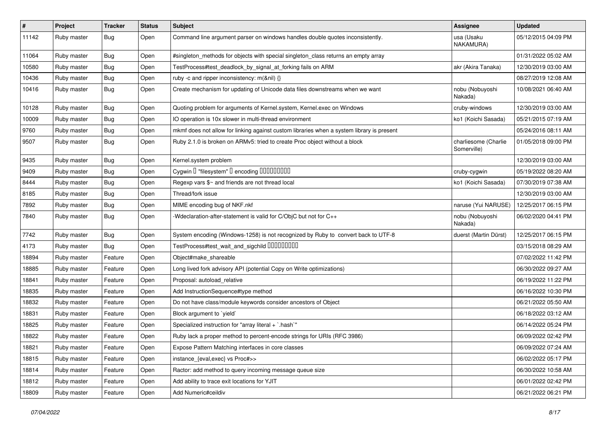| $\#$  | Project     | <b>Tracker</b> | <b>Status</b> | Subject                                                                                   | <b>Assignee</b>                     | <b>Updated</b>      |
|-------|-------------|----------------|---------------|-------------------------------------------------------------------------------------------|-------------------------------------|---------------------|
| 11142 | Ruby master | Bug            | Open          | Command line argument parser on windows handles double quotes inconsistently.             | usa (Usaku<br>NAKAMURA)             | 05/12/2015 04:09 PM |
| 11064 | Ruby master | Bug            | Open          | #singleton_methods for objects with special singleton_class returns an empty array        |                                     | 01/31/2022 05:02 AM |
| 10580 | Ruby master | Bug            | Open          | TestProcess#test_deadlock_by_signal_at_forking fails on ARM                               | akr (Akira Tanaka)                  | 12/30/2019 03:00 AM |
| 10436 | Ruby master | Bug            | Open          | ruby -c and ripper inconsistency: m(&nil) {}                                              |                                     | 08/27/2019 12:08 AM |
| 10416 | Ruby master | Bug            | Open          | Create mechanism for updating of Unicode data files downstreams when we want              | nobu (Nobuyoshi<br>Nakada)          | 10/08/2021 06:40 AM |
| 10128 | Ruby master | <b>Bug</b>     | Open          | Quoting problem for arguments of Kernel.system, Kernel.exec on Windows                    | cruby-windows                       | 12/30/2019 03:00 AM |
| 10009 | Ruby master | Bug            | Open          | IO operation is 10x slower in multi-thread environment                                    | ko1 (Koichi Sasada)                 | 05/21/2015 07:19 AM |
| 9760  | Ruby master | Bug            | Open          | mkmf does not allow for linking against custom libraries when a system library is present |                                     | 05/24/2016 08:11 AM |
| 9507  | Ruby master | <b>Bug</b>     | Open          | Ruby 2.1.0 is broken on ARMv5: tried to create Proc object without a block                | charliesome (Charlie<br>Somerville) | 01/05/2018 09:00 PM |
| 9435  | Ruby master | Bug            | Open          | Kernel.system problem                                                                     |                                     | 12/30/2019 03:00 AM |
| 9409  | Ruby master | <b>Bug</b>     | Open          |                                                                                           | cruby-cygwin                        | 05/19/2022 08:20 AM |
| 8444  | Ruby master | <b>Bug</b>     | Open          | Regexp vars \$~ and friends are not thread local                                          | ko1 (Koichi Sasada)                 | 07/30/2019 07:38 AM |
| 8185  | Ruby master | <b>Bug</b>     | Open          | Thread/fork issue                                                                         |                                     | 12/30/2019 03:00 AM |
| 7892  | Ruby master | Bug            | Open          | MIME encoding bug of NKF.nkf                                                              | naruse (Yui NARUSE)                 | 12/25/2017 06:15 PM |
| 7840  | Ruby master | Bug            | Open          | -Wdeclaration-after-statement is valid for C/ObjC but not for C++                         | nobu (Nobuyoshi<br>Nakada)          | 06/02/2020 04:41 PM |
| 7742  | Ruby master | <b>Bug</b>     | Open          | System encoding (Windows-1258) is not recognized by Ruby to convert back to UTF-8         | duerst (Martin Dürst)               | 12/25/2017 06:15 PM |
| 4173  | Ruby master | Bug            | Open          |                                                                                           |                                     | 03/15/2018 08:29 AM |
| 18894 | Ruby master | Feature        | Open          | Object#make_shareable                                                                     |                                     | 07/02/2022 11:42 PM |
| 18885 | Ruby master | Feature        | Open          | Long lived fork advisory API (potential Copy on Write optimizations)                      |                                     | 06/30/2022 09:27 AM |
| 18841 | Ruby master | Feature        | Open          | Proposal: autoload_relative                                                               |                                     | 06/19/2022 11:22 PM |
| 18835 | Ruby master | Feature        | Open          | Add InstructionSequence#type method                                                       |                                     | 06/16/2022 10:30 PM |
| 18832 | Ruby master | Feature        | Open          | Do not have class/module keywords consider ancestors of Object                            |                                     | 06/21/2022 05:50 AM |
| 18831 | Ruby master | Feature        | Open          | Block argument to 'yield'                                                                 |                                     | 06/18/2022 03:12 AM |
| 18825 | Ruby master | Feature        | Open          | Specialized instruction for "array literal + `.hash`"                                     |                                     | 06/14/2022 05:24 PM |
| 18822 | Ruby master | Feature        | Open          | Ruby lack a proper method to percent-encode strings for URIs (RFC 3986)                   |                                     | 06/09/2022 02:42 PM |
| 18821 | Ruby master | Feature        | Open          | Expose Pattern Matching interfaces in core classes                                        |                                     | 06/09/2022 07:24 AM |
| 18815 | Ruby master | Feature        | Open          | instance_{eval,exec} vs Proc#>>                                                           |                                     | 06/02/2022 05:17 PM |
| 18814 | Ruby master | Feature        | Open          | Ractor: add method to query incoming message queue size                                   |                                     | 06/30/2022 10:58 AM |
| 18812 | Ruby master | Feature        | Open          | Add ability to trace exit locations for YJIT                                              |                                     | 06/01/2022 02:42 PM |
| 18809 | Ruby master | Feature        | Open          | Add Numeric#ceildiv                                                                       |                                     | 06/21/2022 06:21 PM |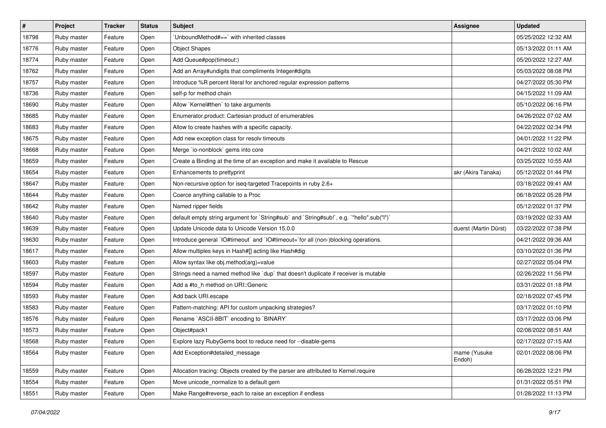| $\vert$ # | Project     | <b>Tracker</b> | <b>Status</b> | Subject                                                                                   | <b>Assignee</b>        | <b>Updated</b>      |
|-----------|-------------|----------------|---------------|-------------------------------------------------------------------------------------------|------------------------|---------------------|
| 18798     | Ruby master | Feature        | Open          | 'UnboundMethod#==' with inherited classes                                                 |                        | 05/25/2022 12:32 AM |
| 18776     | Ruby master | Feature        | Open          | <b>Object Shapes</b>                                                                      |                        | 05/13/2022 01:11 AM |
| 18774     | Ruby master | Feature        | Open          | Add Queue#pop(timeout:)                                                                   |                        | 05/20/2022 12:27 AM |
| 18762     | Ruby master | Feature        | Open          | Add an Array#undigits that compliments Integer#digits                                     |                        | 05/03/2022 08:08 PM |
| 18757     | Ruby master | Feature        | Open          | Introduce %R percent literal for anchored regular expression patterns                     |                        | 04/27/2022 05:30 PM |
| 18736     | Ruby master | Feature        | Open          | self-p for method chain                                                                   |                        | 04/15/2022 11:09 AM |
| 18690     | Ruby master | Feature        | Open          | Allow `Kernel#then` to take arguments                                                     |                        | 05/10/2022 06:16 PM |
| 18685     | Ruby master | Feature        | Open          | Enumerator.product: Cartesian product of enumerables                                      |                        | 04/26/2022 07:02 AM |
| 18683     | Ruby master | Feature        | Open          | Allow to create hashes with a specific capacity.                                          |                        | 04/22/2022 02:34 PM |
| 18675     | Ruby master | Feature        | Open          | Add new exception class for resolv timeouts                                               |                        | 04/01/2022 11:22 PM |
| 18668     | Ruby master | Feature        | Open          | Merge `io-nonblock` gems into core                                                        |                        | 04/21/2022 10:02 AM |
| 18659     | Ruby master | Feature        | Open          | Create a Binding at the time of an exception and make it available to Rescue              |                        | 03/25/2022 10:55 AM |
| 18654     | Ruby master | Feature        | Open          | Enhancements to prettyprint                                                               | akr (Akira Tanaka)     | 05/12/2022 01:44 PM |
| 18647     | Ruby master | Feature        | Open          | Non-recursive option for iseq-targeted Tracepoints in ruby 2.6+                           |                        | 03/18/2022 09:41 AM |
| 18644     | Ruby master | Feature        | Open          | Coerce anything callable to a Proc                                                        |                        | 06/18/2022 05:28 PM |
| 18642     | Ruby master | Feature        | Open          | Named ripper fields                                                                       |                        | 05/12/2022 01:37 PM |
| 18640     | Ruby master | Feature        | Open          | default empty string argument for `String#sub` and `String#sub!`, e.g. `"hello".sub("I")` |                        | 03/19/2022 02:33 AM |
| 18639     | Ruby master | Feature        | Open          | Update Unicode data to Unicode Version 15.0.0                                             | duerst (Martin Dürst)  | 03/22/2022 07:38 PM |
| 18630     | Ruby master | Feature        | Open          | Introduce general `IO#timeout` and `IO#timeout=`for all (non-)blocking operations.        |                        | 04/21/2022 09:36 AM |
| 18617     | Ruby master | Feature        | Open          | Allow multiples keys in Hash#[] acting like Hash#dig                                      |                        | 03/10/2022 01:36 PM |
| 18603     | Ruby master | Feature        | Open          | Allow syntax like obj.method(arg)=value                                                   |                        | 02/27/2022 05:04 PM |
| 18597     | Ruby master | Feature        | Open          | Strings need a named method like 'dup' that doesn't duplicate if receiver is mutable      |                        | 02/26/2022 11:56 PM |
| 18594     | Ruby master | Feature        | Open          | Add a #to_h method on URI::Generic                                                        |                        | 03/31/2022 01:18 PM |
| 18593     | Ruby master | Feature        | Open          | Add back URI.escape                                                                       |                        | 02/18/2022 07:45 PM |
| 18583     | Ruby master | Feature        | Open          | Pattern-matching: API for custom unpacking strategies?                                    |                        | 03/17/2022 01:10 PM |
| 18576     | Ruby master | Feature        | Open          | Rename `ASCII-8BIT` encoding to `BINARY`                                                  |                        | 03/17/2022 03:06 PM |
| 18573     | Ruby master | Feature        | Open          | Object#pack1                                                                              |                        | 02/08/2022 08:51 AM |
| 18568     | Ruby master | Feature        | Open          | Explore lazy RubyGems boot to reduce need for --disable-gems                              |                        | 02/17/2022 07:15 AM |
| 18564     | Ruby master | Feature        | Open          | Add Exception#detailed message                                                            | mame (Yusuke<br>Endoh) | 02/01/2022 08:06 PM |
| 18559     | Ruby master | Feature        | Open          | Allocation tracing: Objects created by the parser are attributed to Kernel.require        |                        | 06/28/2022 12:21 PM |
| 18554     | Ruby master | Feature        | Open          | Move unicode_normalize to a default gem                                                   |                        | 01/31/2022 05:51 PM |
| 18551     | Ruby master | Feature        | Open          | Make Range#reverse_each to raise an exception if endless                                  |                        | 01/28/2022 11:13 PM |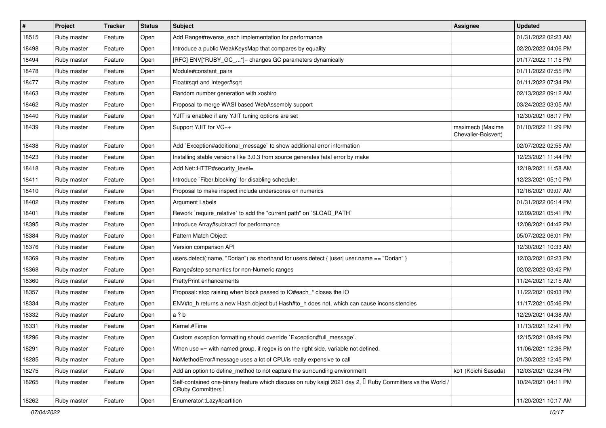| $\vert$ # | Project     | <b>Tracker</b> | <b>Status</b> | <b>Subject</b>                                                                                                                                    | <b>Assignee</b>                         | <b>Updated</b>      |
|-----------|-------------|----------------|---------------|---------------------------------------------------------------------------------------------------------------------------------------------------|-----------------------------------------|---------------------|
| 18515     | Ruby master | Feature        | Open          | Add Range#reverse_each implementation for performance                                                                                             |                                         | 01/31/2022 02:23 AM |
| 18498     | Ruby master | Feature        | Open          | Introduce a public WeakKeysMap that compares by equality                                                                                          |                                         | 02/20/2022 04:06 PM |
| 18494     | Ruby master | Feature        | Open          | [RFC] ENV["RUBY_GC_"]= changes GC parameters dynamically                                                                                          |                                         | 01/17/2022 11:15 PM |
| 18478     | Ruby master | Feature        | Open          | Module#constant pairs                                                                                                                             |                                         | 01/11/2022 07:55 PM |
| 18477     | Ruby master | Feature        | Open          | Float#sqrt and Integer#sqrt                                                                                                                       |                                         | 01/11/2022 07:34 PM |
| 18463     | Ruby master | Feature        | Open          | Random number generation with xoshiro                                                                                                             |                                         | 02/13/2022 09:12 AM |
| 18462     | Ruby master | Feature        | Open          | Proposal to merge WASI based WebAssembly support                                                                                                  |                                         | 03/24/2022 03:05 AM |
| 18440     | Ruby master | Feature        | Open          | YJIT is enabled if any YJIT tuning options are set                                                                                                |                                         | 12/30/2021 08:17 PM |
| 18439     | Ruby master | Feature        | Open          | Support YJIT for VC++                                                                                                                             | maximecb (Maxime<br>Chevalier-Boisvert) | 01/10/2022 11:29 PM |
| 18438     | Ruby master | Feature        | Open          | Add `Exception#additional message` to show additional error information                                                                           |                                         | 02/07/2022 02:55 AM |
| 18423     | Ruby master | Feature        | Open          | Installing stable versions like 3.0.3 from source generates fatal error by make                                                                   |                                         | 12/23/2021 11:44 PM |
| 18418     | Ruby master | Feature        | Open          | Add Net::HTTP#security_level=                                                                                                                     |                                         | 12/19/2021 11:58 AM |
| 18411     | Ruby master | Feature        | Open          | Introduce `Fiber.blocking` for disabling scheduler.                                                                                               |                                         | 12/23/2021 05:10 PM |
| 18410     | Ruby master | Feature        | Open          | Proposal to make inspect include underscores on numerics                                                                                          |                                         | 12/16/2021 09:07 AM |
| 18402     | Ruby master | Feature        | Open          | <b>Argument Labels</b>                                                                                                                            |                                         | 01/31/2022 06:14 PM |
| 18401     | Ruby master | Feature        | Open          | Rework `require_relative` to add the "current path" on `\$LOAD_PATH`                                                                              |                                         | 12/09/2021 05:41 PM |
| 18395     | Ruby master | Feature        | Open          | Introduce Array#subtract! for performance                                                                                                         |                                         | 12/08/2021 04:42 PM |
| 18384     | Ruby master | Feature        | Open          | Pattern Match Object                                                                                                                              |                                         | 05/07/2022 06:01 PM |
| 18376     | Ruby master | Feature        | Open          | Version comparison API                                                                                                                            |                                         | 12/30/2021 10:33 AM |
| 18369     | Ruby master | Feature        | Open          | users.detect(:name, "Dorian") as shorthand for users.detect {  user  user.name == "Dorian" }                                                      |                                         | 12/03/2021 02:23 PM |
| 18368     | Ruby master | Feature        | Open          | Range#step semantics for non-Numeric ranges                                                                                                       |                                         | 02/02/2022 03:42 PM |
| 18360     | Ruby master | Feature        | Open          | <b>PrettyPrint enhancements</b>                                                                                                                   |                                         | 11/24/2021 12:15 AM |
| 18357     | Ruby master | Feature        | Open          | Proposal: stop raising when block passed to IO#each_* closes the IO                                                                               |                                         | 11/22/2021 09:03 PM |
| 18334     | Ruby master | Feature        | Open          | ENV#to_h returns a new Hash object but Hash#to_h does not, which can cause inconsistencies                                                        |                                         | 11/17/2021 05:46 PM |
| 18332     | Ruby master | Feature        | Open          | a ? b                                                                                                                                             |                                         | 12/29/2021 04:38 AM |
| 18331     | Ruby master | Feature        | Open          | Kernel.#Time                                                                                                                                      |                                         | 11/13/2021 12:41 PM |
| 18296     | Ruby master | Feature        | Open          | Custom exception formatting should override `Exception#full_message`.                                                                             |                                         | 12/15/2021 08:49 PM |
| 18291     | Ruby master | Feature        | Open          | When use $=\sim$ with named group, if regex is on the right side, variable not defined.                                                           |                                         | 11/06/2021 12:36 PM |
| 18285     | Ruby master | Feature        | Open          | NoMethodError#message uses a lot of CPU/is really expensive to call                                                                               |                                         | 01/30/2022 12:45 PM |
| 18275     | Ruby master | Feature        | Open          | Add an option to define_method to not capture the surrounding environment                                                                         | ko1 (Koichi Sasada)                     | 12/03/2021 02:34 PM |
| 18265     | Ruby master | Feature        | Open          | Self-contained one-binary feature which discuss on ruby kaigi 2021 day 2, $\Box$ Ruby Committers vs the World /<br>CRuby Committers <sup>[]</sup> |                                         | 10/24/2021 04:11 PM |
| 18262     | Ruby master | Feature        | Open          | Enumerator::Lazy#partition                                                                                                                        |                                         | 11/20/2021 10:17 AM |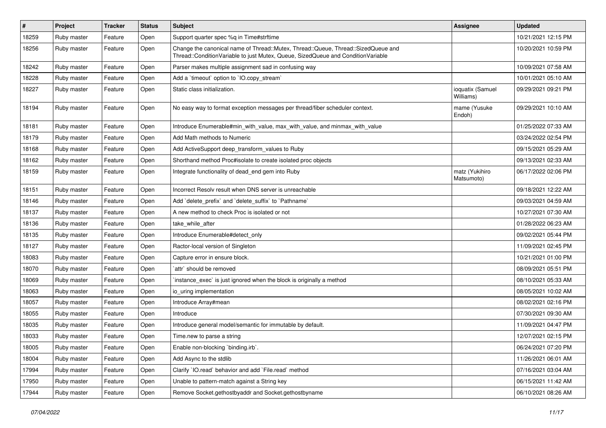| $\#$  | Project     | <b>Tracker</b> | <b>Status</b> | Subject                                                                                                                                                               | <b>Assignee</b>               | <b>Updated</b>      |
|-------|-------------|----------------|---------------|-----------------------------------------------------------------------------------------------------------------------------------------------------------------------|-------------------------------|---------------------|
| 18259 | Ruby master | Feature        | Open          | Support quarter spec %q in Time#strftime                                                                                                                              |                               | 10/21/2021 12:15 PM |
| 18256 | Ruby master | Feature        | Open          | Change the canonical name of Thread::Mutex, Thread::Queue, Thread::SizedQueue and<br>Thread::ConditionVariable to just Mutex, Queue, SizedQueue and ConditionVariable |                               | 10/20/2021 10:59 PM |
| 18242 | Ruby master | Feature        | Open          | Parser makes multiple assignment sad in confusing way                                                                                                                 |                               | 10/09/2021 07:58 AM |
| 18228 | Ruby master | Feature        | Open          | Add a 'timeout' option to 'IO.copy_stream'                                                                                                                            |                               | 10/01/2021 05:10 AM |
| 18227 | Ruby master | Feature        | Open          | Static class initialization.                                                                                                                                          | ioquatix (Samuel<br>Williams) | 09/29/2021 09:21 PM |
| 18194 | Ruby master | Feature        | Open          | No easy way to format exception messages per thread/fiber scheduler context.                                                                                          | mame (Yusuke<br>Endoh)        | 09/29/2021 10:10 AM |
| 18181 | Ruby master | Feature        | Open          | Introduce Enumerable#min_with_value, max_with_value, and minmax_with_value                                                                                            |                               | 01/25/2022 07:33 AM |
| 18179 | Ruby master | Feature        | Open          | Add Math methods to Numeric                                                                                                                                           |                               | 03/24/2022 02:54 PM |
| 18168 | Ruby master | Feature        | Open          | Add ActiveSupport deep_transform_values to Ruby                                                                                                                       |                               | 09/15/2021 05:29 AM |
| 18162 | Ruby master | Feature        | Open          | Shorthand method Proc#isolate to create isolated proc objects                                                                                                         |                               | 09/13/2021 02:33 AM |
| 18159 | Ruby master | Feature        | Open          | Integrate functionality of dead_end gem into Ruby                                                                                                                     | matz (Yukihiro<br>Matsumoto)  | 06/17/2022 02:06 PM |
| 18151 | Ruby master | Feature        | Open          | Incorrect Resoly result when DNS server is unreachable                                                                                                                |                               | 09/18/2021 12:22 AM |
| 18146 | Ruby master | Feature        | Open          | Add `delete_prefix` and `delete_suffix` to `Pathname`                                                                                                                 |                               | 09/03/2021 04:59 AM |
| 18137 | Ruby master | Feature        | Open          | A new method to check Proc is isolated or not                                                                                                                         |                               | 10/27/2021 07:30 AM |
| 18136 | Ruby master | Feature        | Open          | take_while_after                                                                                                                                                      |                               | 01/28/2022 06:23 AM |
| 18135 | Ruby master | Feature        | Open          | Introduce Enumerable#detect_only                                                                                                                                      |                               | 09/02/2021 05:44 PM |
| 18127 | Ruby master | Feature        | Open          | Ractor-local version of Singleton                                                                                                                                     |                               | 11/09/2021 02:45 PM |
| 18083 | Ruby master | Feature        | Open          | Capture error in ensure block.                                                                                                                                        |                               | 10/21/2021 01:00 PM |
| 18070 | Ruby master | Feature        | Open          | `attr` should be removed                                                                                                                                              |                               | 08/09/2021 05:51 PM |
| 18069 | Ruby master | Feature        | Open          | instance_exec` is just ignored when the block is originally a method                                                                                                  |                               | 08/10/2021 05:33 AM |
| 18063 | Ruby master | Feature        | Open          | io_uring implementation                                                                                                                                               |                               | 08/05/2021 10:02 AM |
| 18057 | Ruby master | Feature        | Open          | Introduce Array#mean                                                                                                                                                  |                               | 08/02/2021 02:16 PM |
| 18055 | Ruby master | Feature        | Open          | Introduce                                                                                                                                                             |                               | 07/30/2021 09:30 AM |
| 18035 | Ruby master | Feature        | Open          | Introduce general model/semantic for immutable by default.                                                                                                            |                               | 11/09/2021 04:47 PM |
| 18033 | Ruby master | Feature        | Open          | Time.new to parse a string                                                                                                                                            |                               | 12/07/2021 02:15 PM |
| 18005 | Ruby master | Feature        | Open          | Enable non-blocking 'binding.irb'.                                                                                                                                    |                               | 06/24/2021 07:20 PM |
| 18004 | Ruby master | Feature        | Open          | Add Async to the stdlib                                                                                                                                               |                               | 11/26/2021 06:01 AM |
| 17994 | Ruby master | Feature        | Open          | Clarify `IO.read` behavior and add `File.read` method                                                                                                                 |                               | 07/16/2021 03:04 AM |
| 17950 | Ruby master | Feature        | Open          | Unable to pattern-match against a String key                                                                                                                          |                               | 06/15/2021 11:42 AM |
| 17944 | Ruby master | Feature        | Open          | Remove Socket.gethostbyaddr and Socket.gethostbyname                                                                                                                  |                               | 06/10/2021 08:26 AM |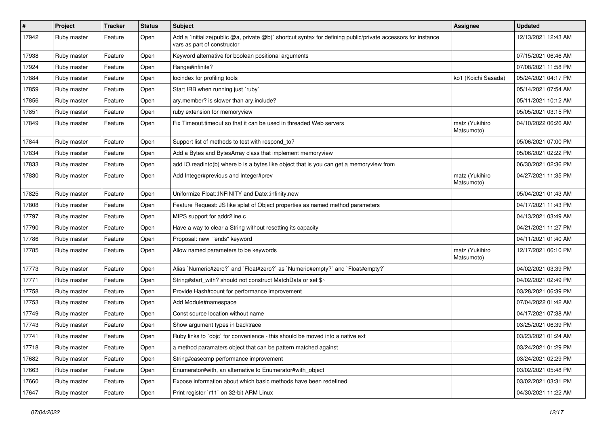| $\vert$ # | Project     | <b>Tracker</b> | <b>Status</b> | Subject                                                                                                                                     | Assignee                     | <b>Updated</b>      |
|-----------|-------------|----------------|---------------|---------------------------------------------------------------------------------------------------------------------------------------------|------------------------------|---------------------|
| 17942     | Ruby master | Feature        | Open          | Add a 'initialize(public @a, private @b)' shortcut syntax for defining public/private accessors for instance<br>vars as part of constructor |                              | 12/13/2021 12:43 AM |
| 17938     | Ruby master | Feature        | Open          | Keyword alternative for boolean positional arguments                                                                                        |                              | 07/15/2021 06:46 AM |
| 17924     | Ruby master | Feature        | Open          | Range#infinite?                                                                                                                             |                              | 07/08/2021 11:58 PM |
| 17884     | Ruby master | Feature        | Open          | locindex for profiling tools                                                                                                                | ko1 (Koichi Sasada)          | 05/24/2021 04:17 PM |
| 17859     | Ruby master | Feature        | Open          | Start IRB when running just `ruby`                                                                                                          |                              | 05/14/2021 07:54 AM |
| 17856     | Ruby master | Feature        | Open          | ary.member? is slower than ary.include?                                                                                                     |                              | 05/11/2021 10:12 AM |
| 17851     | Ruby master | Feature        | Open          | ruby extension for memoryview                                                                                                               |                              | 05/05/2021 03:15 PM |
| 17849     | Ruby master | Feature        | Open          | Fix Timeout timeout so that it can be used in threaded Web servers                                                                          | matz (Yukihiro<br>Matsumoto) | 04/10/2022 06:26 AM |
| 17844     | Ruby master | Feature        | Open          | Support list of methods to test with respond to?                                                                                            |                              | 05/06/2021 07:00 PM |
| 17834     | Ruby master | Feature        | Open          | Add a Bytes and BytesArray class that implement memoryview                                                                                  |                              | 05/06/2021 02:22 PM |
| 17833     | Ruby master | Feature        | Open          | add IO.readinto(b) where b is a bytes like object that is you can get a memoryview from                                                     |                              | 06/30/2021 02:36 PM |
| 17830     | Ruby master | Feature        | Open          | Add Integer#previous and Integer#prev                                                                                                       | matz (Yukihiro<br>Matsumoto) | 04/27/2021 11:35 PM |
| 17825     | Ruby master | Feature        | Open          | Uniformize Float::INFINITY and Date::infinity.new                                                                                           |                              | 05/04/2021 01:43 AM |
| 17808     | Ruby master | Feature        | Open          | Feature Request: JS like splat of Object properties as named method parameters                                                              |                              | 04/17/2021 11:43 PM |
| 17797     | Ruby master | Feature        | Open          | MIPS support for addr2line.c                                                                                                                |                              | 04/13/2021 03:49 AM |
| 17790     | Ruby master | Feature        | Open          | Have a way to clear a String without resetting its capacity                                                                                 |                              | 04/21/2021 11:27 PM |
| 17786     | Ruby master | Feature        | Open          | Proposal: new "ends" keyword                                                                                                                |                              | 04/11/2021 01:40 AM |
| 17785     | Ruby master | Feature        | Open          | Allow named parameters to be keywords                                                                                                       | matz (Yukihiro<br>Matsumoto) | 12/17/2021 06:10 PM |
| 17773     | Ruby master | Feature        | Open          | Alias `Numeric#zero?` and `Float#zero?` as `Numeric#empty?` and `Float#empty?`                                                              |                              | 04/02/2021 03:39 PM |
| 17771     | Ruby master | Feature        | Open          | String#start_with? should not construct MatchData or set \$~                                                                                |                              | 04/02/2021 02:49 PM |
| 17758     | Ruby master | Feature        | Open          | Provide Hash#count for performance improvement                                                                                              |                              | 03/28/2021 06:39 PM |
| 17753     | Ruby master | Feature        | Open          | Add Module#namespace                                                                                                                        |                              | 07/04/2022 01:42 AM |
| 17749     | Ruby master | Feature        | Open          | Const source location without name                                                                                                          |                              | 04/17/2021 07:38 AM |
| 17743     | Ruby master | Feature        | Open          | Show argument types in backtrace                                                                                                            |                              | 03/25/2021 06:39 PM |
| 17741     | Ruby master | Feature        | Open          | Ruby links to `objc` for convenience - this should be moved into a native ext                                                               |                              | 03/23/2021 01:24 AM |
| 17718     | Ruby master | Feature        | Open          | a method paramaters object that can be pattern matched against                                                                              |                              | 03/24/2021 01:29 PM |
| 17682     | Ruby master | Feature        | Open          | String#casecmp performance improvement                                                                                                      |                              | 03/24/2021 02:29 PM |
| 17663     | Ruby master | Feature        | Open          | Enumerator#with, an alternative to Enumerator#with object                                                                                   |                              | 03/02/2021 05:48 PM |
| 17660     | Ruby master | Feature        | Open          | Expose information about which basic methods have been redefined                                                                            |                              | 03/02/2021 03:31 PM |
| 17647     | Ruby master | Feature        | Open          | Print register `r11` on 32-bit ARM Linux                                                                                                    |                              | 04/30/2021 11:22 AM |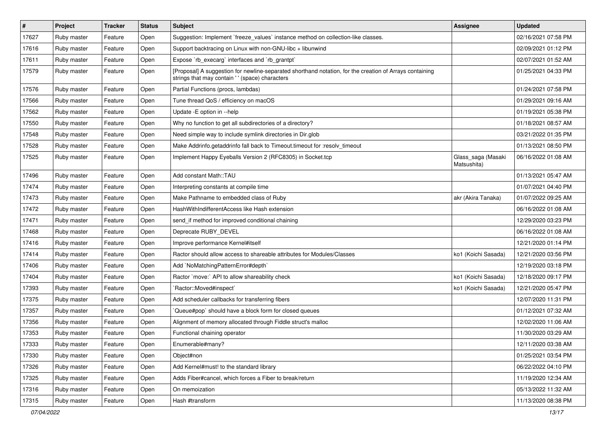| $\pmb{\sharp}$ | Project     | <b>Tracker</b> | <b>Status</b> | Subject                                                                                                                                                   | <b>Assignee</b>                   | <b>Updated</b>      |
|----------------|-------------|----------------|---------------|-----------------------------------------------------------------------------------------------------------------------------------------------------------|-----------------------------------|---------------------|
| 17627          | Ruby master | Feature        | Open          | Suggestion: Implement `freeze_values` instance method on collection-like classes.                                                                         |                                   | 02/16/2021 07:58 PM |
| 17616          | Ruby master | Feature        | Open          | Support backtracing on Linux with non-GNU-libc + libunwind                                                                                                |                                   | 02/09/2021 01:12 PM |
| 17611          | Ruby master | Feature        | Open          | Expose `rb_execarg` interfaces and `rb_grantpt`                                                                                                           |                                   | 02/07/2021 01:52 AM |
| 17579          | Ruby master | Feature        | Open          | [Proposal] A suggestion for newline-separated shorthand notation, for the creation of Arrays containing<br>strings that may contain '' (space) characters |                                   | 01/25/2021 04:33 PM |
| 17576          | Ruby master | Feature        | Open          | Partial Functions (procs, lambdas)                                                                                                                        |                                   | 01/24/2021 07:58 PM |
| 17566          | Ruby master | Feature        | Open          | Tune thread QoS / efficiency on macOS                                                                                                                     |                                   | 01/29/2021 09:16 AM |
| 17562          | Ruby master | Feature        | Open          | Update - E option in --help                                                                                                                               |                                   | 01/19/2021 05:38 PM |
| 17550          | Ruby master | Feature        | Open          | Why no function to get all subdirectories of a directory?                                                                                                 |                                   | 01/18/2021 08:57 AM |
| 17548          | Ruby master | Feature        | Open          | Need simple way to include symlink directories in Dir.glob                                                                                                |                                   | 03/21/2022 01:35 PM |
| 17528          | Ruby master | Feature        | Open          | Make Addrinfo.getaddrinfo fall back to Timeout.timeout for :resolv_timeout                                                                                |                                   | 01/13/2021 08:50 PM |
| 17525          | Ruby master | Feature        | Open          | Implement Happy Eyeballs Version 2 (RFC8305) in Socket.tcp                                                                                                | Glass_saga (Masaki<br>Matsushita) | 06/16/2022 01:08 AM |
| 17496          | Ruby master | Feature        | Open          | Add constant Math::TAU                                                                                                                                    |                                   | 01/13/2021 05:47 AM |
| 17474          | Ruby master | Feature        | Open          | Interpreting constants at compile time                                                                                                                    |                                   | 01/07/2021 04:40 PM |
| 17473          | Ruby master | Feature        | Open          | Make Pathname to embedded class of Ruby                                                                                                                   | akr (Akira Tanaka)                | 01/07/2022 09:25 AM |
| 17472          | Ruby master | Feature        | Open          | HashWithIndifferentAccess like Hash extension                                                                                                             |                                   | 06/16/2022 01:08 AM |
| 17471          | Ruby master | Feature        | Open          | send_if method for improved conditional chaining                                                                                                          |                                   | 12/29/2020 03:23 PM |
| 17468          | Ruby master | Feature        | Open          | Deprecate RUBY_DEVEL                                                                                                                                      |                                   | 06/16/2022 01:08 AM |
| 17416          | Ruby master | Feature        | Open          | Improve performance Kernel#itself                                                                                                                         |                                   | 12/21/2020 01:14 PM |
| 17414          | Ruby master | Feature        | Open          | Ractor should allow access to shareable attributes for Modules/Classes                                                                                    | ko1 (Koichi Sasada)               | 12/21/2020 03:56 PM |
| 17406          | Ruby master | Feature        | Open          | Add `NoMatchingPatternError#depth`                                                                                                                        |                                   | 12/19/2020 03:18 PM |
| 17404          | Ruby master | Feature        | Open          | Ractor `move:` API to allow shareability check                                                                                                            | ko1 (Koichi Sasada)               | 12/18/2020 09:17 PM |
| 17393          | Ruby master | Feature        | Open          | `Ractor::Moved#inspect`                                                                                                                                   | ko1 (Koichi Sasada)               | 12/21/2020 05:47 PM |
| 17375          | Ruby master | Feature        | Open          | Add scheduler callbacks for transferring fibers                                                                                                           |                                   | 12/07/2020 11:31 PM |
| 17357          | Ruby master | Feature        | Open          | Queue#pop` should have a block form for closed queues                                                                                                     |                                   | 01/12/2021 07:32 AM |
| 17356          | Ruby master | Feature        | Open          | Alignment of memory allocated through Fiddle struct's malloc                                                                                              |                                   | 12/02/2020 11:06 AM |
| 17353          | Ruby master | Feature        | Open          | Functional chaining operator                                                                                                                              |                                   | 11/30/2020 03:29 AM |
| 17333          | Ruby master | Feature        | Open          | Enumerable#many?                                                                                                                                          |                                   | 12/11/2020 03:38 AM |
| 17330          | Ruby master | Feature        | Open          | Object#non                                                                                                                                                |                                   | 01/25/2021 03:54 PM |
| 17326          | Ruby master | Feature        | Open          | Add Kernel#must! to the standard library                                                                                                                  |                                   | 06/22/2022 04:10 PM |
| 17325          | Ruby master | Feature        | Open          | Adds Fiber#cancel, which forces a Fiber to break/return                                                                                                   |                                   | 11/19/2020 12:34 AM |
| 17316          | Ruby master | Feature        | Open          | On memoization                                                                                                                                            |                                   | 05/13/2022 11:32 AM |
| 17315          | Ruby master | Feature        | Open          | Hash #transform                                                                                                                                           |                                   | 11/13/2020 08:38 PM |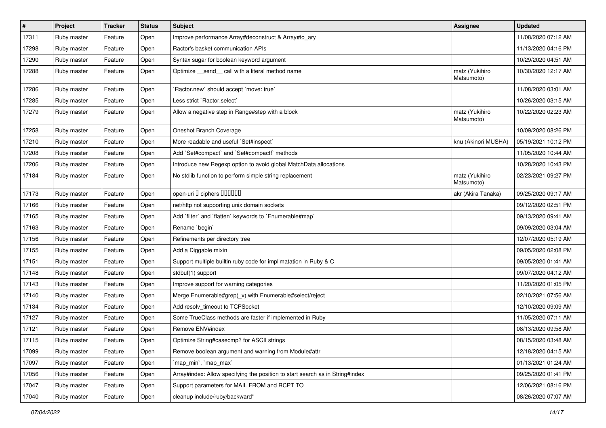| $\#$  | Project     | <b>Tracker</b> | <b>Status</b> | Subject                                                                       | <b>Assignee</b>              | <b>Updated</b>      |
|-------|-------------|----------------|---------------|-------------------------------------------------------------------------------|------------------------------|---------------------|
| 17311 | Ruby master | Feature        | Open          | Improve performance Array#deconstruct & Array#to_ary                          |                              | 11/08/2020 07:12 AM |
| 17298 | Ruby master | Feature        | Open          | Ractor's basket communication APIs                                            |                              | 11/13/2020 04:16 PM |
| 17290 | Ruby master | Feature        | Open          | Syntax sugar for boolean keyword argument                                     |                              | 10/29/2020 04:51 AM |
| 17288 | Ruby master | Feature        | Open          | Optimize _send_ call with a literal method name                               | matz (Yukihiro<br>Matsumoto) | 10/30/2020 12:17 AM |
| 17286 | Ruby master | Feature        | Open          | `Ractor.new` should accept `move: true`                                       |                              | 11/08/2020 03:01 AM |
| 17285 | Ruby master | Feature        | Open          | Less strict `Ractor.select`                                                   |                              | 10/26/2020 03:15 AM |
| 17279 | Ruby master | Feature        | Open          | Allow a negative step in Range#step with a block                              | matz (Yukihiro<br>Matsumoto) | 10/22/2020 02:23 AM |
| 17258 | Ruby master | Feature        | Open          | Oneshot Branch Coverage                                                       |                              | 10/09/2020 08:26 PM |
| 17210 | Ruby master | Feature        | Open          | More readable and useful `Set#inspect`                                        | knu (Akinori MUSHA)          | 05/19/2021 10:12 PM |
| 17208 | Ruby master | Feature        | Open          | Add `Set#compact` and `Set#compact!` methods                                  |                              | 11/05/2020 10:44 AM |
| 17206 | Ruby master | Feature        | Open          | Introduce new Regexp option to avoid global MatchData allocations             |                              | 10/28/2020 10:43 PM |
| 17184 | Ruby master | Feature        | Open          | No stdlib function to perform simple string replacement                       | matz (Yukihiro<br>Matsumoto) | 02/23/2021 09:27 PM |
| 17173 | Ruby master | Feature        | Open          | open-uri I ciphers IIIIIII                                                    | akr (Akira Tanaka)           | 09/25/2020 09:17 AM |
| 17166 | Ruby master | Feature        | Open          | net/http not supporting unix domain sockets                                   |                              | 09/12/2020 02:51 PM |
| 17165 | Ruby master | Feature        | Open          | Add 'filter' and 'flatten' keywords to 'Enumerable#map'                       |                              | 09/13/2020 09:41 AM |
| 17163 | Ruby master | Feature        | Open          | Rename `begin`                                                                |                              | 09/09/2020 03:04 AM |
| 17156 | Ruby master | Feature        | Open          | Refinements per directory tree                                                |                              | 12/07/2020 05:19 AM |
| 17155 | Ruby master | Feature        | Open          | Add a Diggable mixin                                                          |                              | 09/05/2020 02:08 PM |
| 17151 | Ruby master | Feature        | Open          | Support multiple builtin ruby code for implimatation in Ruby & C              |                              | 09/05/2020 01:41 AM |
| 17148 | Ruby master | Feature        | Open          | stdbuf(1) support                                                             |                              | 09/07/2020 04:12 AM |
| 17143 | Ruby master | Feature        | Open          | Improve support for warning categories                                        |                              | 11/20/2020 01:05 PM |
| 17140 | Ruby master | Feature        | Open          | Merge Enumerable#grep(_v) with Enumerable#select/reject                       |                              | 02/10/2021 07:56 AM |
| 17134 | Ruby master | Feature        | Open          | Add resolv timeout to TCPSocket                                               |                              | 12/10/2020 09:09 AM |
| 17127 | Ruby master | Feature        | Open          | Some TrueClass methods are faster if implemented in Ruby                      |                              | 11/05/2020 07:11 AM |
| 17121 | Ruby master | Feature        | Open          | Remove ENV#index                                                              |                              | 08/13/2020 09:58 AM |
| 17115 | Ruby master | Feature        | Open          | Optimize String#casecmp? for ASCII strings                                    |                              | 08/15/2020 03:48 AM |
| 17099 | Ruby master | Feature        | Open          | Remove boolean argument and warning from Module#attr                          |                              | 12/18/2020 04:15 AM |
| 17097 | Ruby master | Feature        | Open          | `map_min`, `map_max`                                                          |                              | 01/13/2021 01:24 AM |
| 17056 | Ruby master | Feature        | Open          | Array#index: Allow specifying the position to start search as in String#index |                              | 09/25/2020 01:41 PM |
| 17047 | Ruby master | Feature        | Open          | Support parameters for MAIL FROM and RCPT TO                                  |                              | 12/06/2021 08:16 PM |
| 17040 | Ruby master | Feature        | Open          | cleanup include/ruby/backward*                                                |                              | 08/26/2020 07:07 AM |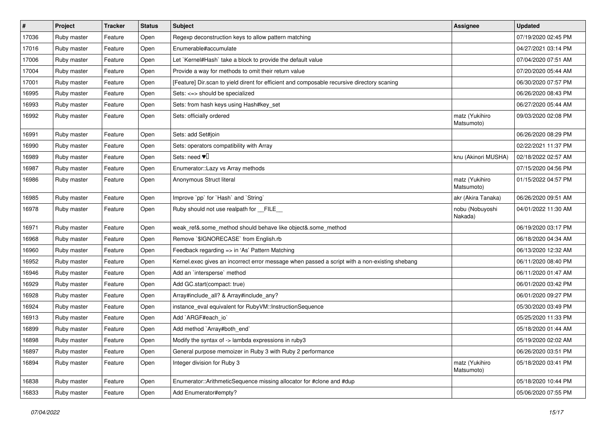| #     | Project     | <b>Tracker</b> | <b>Status</b> | Subject                                                                                       | <b>Assignee</b>              | <b>Updated</b>      |
|-------|-------------|----------------|---------------|-----------------------------------------------------------------------------------------------|------------------------------|---------------------|
| 17036 | Ruby master | Feature        | Open          | Regexp deconstruction keys to allow pattern matching                                          |                              | 07/19/2020 02:45 PM |
| 17016 | Ruby master | Feature        | Open          | Enumerable#accumulate                                                                         |                              | 04/27/2021 03:14 PM |
| 17006 | Ruby master | Feature        | Open          | Let `Kernel#Hash` take a block to provide the default value                                   |                              | 07/04/2020 07:51 AM |
| 17004 | Ruby master | Feature        | Open          | Provide a way for methods to omit their return value                                          |                              | 07/20/2020 05:44 AM |
| 17001 | Ruby master | Feature        | Open          | [Feature] Dir.scan to yield dirent for efficient and composable recursive directory scaning   |                              | 06/30/2020 07:57 PM |
| 16995 | Ruby master | Feature        | Open          | Sets: <=> should be specialized                                                               |                              | 06/26/2020 08:43 PM |
| 16993 | Ruby master | Feature        | Open          | Sets: from hash keys using Hash#key_set                                                       |                              | 06/27/2020 05:44 AM |
| 16992 | Ruby master | Feature        | Open          | Sets: officially ordered                                                                      | matz (Yukihiro<br>Matsumoto) | 09/03/2020 02:08 PM |
| 16991 | Ruby master | Feature        | Open          | Sets: add Set#join                                                                            |                              | 06/26/2020 08:29 PM |
| 16990 | Ruby master | Feature        | Open          | Sets: operators compatibility with Array                                                      |                              | 02/22/2021 11:37 PM |
| 16989 | Ruby master | Feature        | Open          | Sets: need $\Psi$                                                                             | knu (Akinori MUSHA)          | 02/18/2022 02:57 AM |
| 16987 | Ruby master | Feature        | Open          | Enumerator::Lazy vs Array methods                                                             |                              | 07/15/2020 04:56 PM |
| 16986 | Ruby master | Feature        | Open          | Anonymous Struct literal                                                                      | matz (Yukihiro<br>Matsumoto) | 01/15/2022 04:57 PM |
| 16985 | Ruby master | Feature        | Open          | Improve `pp` for `Hash` and `String`                                                          | akr (Akira Tanaka)           | 06/26/2020 09:51 AM |
| 16978 | Ruby master | Feature        | Open          | Ruby should not use realpath for __FILE__                                                     | nobu (Nobuyoshi<br>Nakada)   | 04/01/2022 11:30 AM |
| 16971 | Ruby master | Feature        | Open          | weak_ref&.some_method should behave like object&.some_method                                  |                              | 06/19/2020 03:17 PM |
| 16968 | Ruby master | Feature        | Open          | Remove `\$IGNORECASE` from English.rb                                                         |                              | 06/18/2020 04:34 AM |
| 16960 | Ruby master | Feature        | Open          | Feedback regarding => in 'As' Pattern Matching                                                |                              | 06/13/2020 12:32 AM |
| 16952 | Ruby master | Feature        | Open          | Kernel.exec gives an incorrect error message when passed a script with a non-existing shebang |                              | 06/11/2020 08:40 PM |
| 16946 | Ruby master | Feature        | Open          | Add an 'intersperse' method                                                                   |                              | 06/11/2020 01:47 AM |
| 16929 | Ruby master | Feature        | Open          | Add GC.start(compact: true)                                                                   |                              | 06/01/2020 03:42 PM |
| 16928 | Ruby master | Feature        | Open          | Array#include_all? & Array#include_any?                                                       |                              | 06/01/2020 09:27 PM |
| 16924 | Ruby master | Feature        | Open          | instance_eval equivalent for RubyVM::InstructionSequence                                      |                              | 05/30/2020 03:49 PM |
| 16913 | Ruby master | Feature        | Open          | Add `ARGF#each_io`                                                                            |                              | 05/25/2020 11:33 PM |
| 16899 | Ruby master | Feature        | Open          | Add method `Array#both_end`                                                                   |                              | 05/18/2020 01:44 AM |
| 16898 | Ruby master | Feature        | Open          | Modify the syntax of -> lambda expressions in ruby3                                           |                              | 05/19/2020 02:02 AM |
| 16897 | Ruby master | Feature        | Open          | General purpose memoizer in Ruby 3 with Ruby 2 performance                                    |                              | 06/26/2020 03:51 PM |
| 16894 | Ruby master | Feature        | Open          | Integer division for Ruby 3                                                                   | matz (Yukihiro<br>Matsumoto) | 05/18/2020 03:41 PM |
| 16838 | Ruby master | Feature        | Open          | Enumerator::ArithmeticSequence missing allocator for #clone and #dup                          |                              | 05/18/2020 10:44 PM |
| 16833 | Ruby master | Feature        | Open          | Add Enumerator#empty?                                                                         |                              | 05/06/2020 07:55 PM |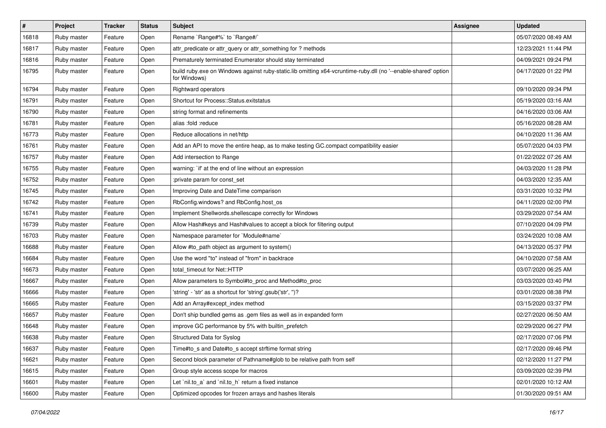| $\vert$ # | Project     | <b>Tracker</b> | <b>Status</b> | Subject                                                                                                                        | <b>Assignee</b> | <b>Updated</b>      |
|-----------|-------------|----------------|---------------|--------------------------------------------------------------------------------------------------------------------------------|-----------------|---------------------|
| 16818     | Ruby master | Feature        | Open          | Rename `Range#%` to `Range#/`                                                                                                  |                 | 05/07/2020 08:49 AM |
| 16817     | Ruby master | Feature        | Open          | attr_predicate or attr_query or attr_something for ? methods                                                                   |                 | 12/23/2021 11:44 PM |
| 16816     | Ruby master | Feature        | Open          | Prematurely terminated Enumerator should stay terminated                                                                       |                 | 04/09/2021 09:24 PM |
| 16795     | Ruby master | Feature        | Open          | build ruby.exe on Windows against ruby-static.lib omitting x64-vcruntime-ruby.dll (no '--enable-shared' option<br>for Windows) |                 | 04/17/2020 01:22 PM |
| 16794     | Ruby master | Feature        | Open          | <b>Rightward operators</b>                                                                                                     |                 | 09/10/2020 09:34 PM |
| 16791     | Ruby master | Feature        | Open          | Shortcut for Process::Status.exitstatus                                                                                        |                 | 05/19/2020 03:16 AM |
| 16790     | Ruby master | Feature        | Open          | string format and refinements                                                                                                  |                 | 04/16/2020 03:06 AM |
| 16781     | Ruby master | Feature        | Open          | alias :fold :reduce                                                                                                            |                 | 05/16/2020 08:28 AM |
| 16773     | Ruby master | Feature        | Open          | Reduce allocations in net/http                                                                                                 |                 | 04/10/2020 11:36 AM |
| 16761     | Ruby master | Feature        | Open          | Add an API to move the entire heap, as to make testing GC.compact compatibility easier                                         |                 | 05/07/2020 04:03 PM |
| 16757     | Ruby master | Feature        | Open          | Add intersection to Range                                                                                                      |                 | 01/22/2022 07:26 AM |
| 16755     | Ruby master | Feature        | Open          | warning: `if' at the end of line without an expression                                                                         |                 | 04/03/2020 11:28 PM |
| 16752     | Ruby master | Feature        | Open          | :private param for const_set                                                                                                   |                 | 04/03/2020 12:35 AM |
| 16745     | Ruby master | Feature        | Open          | Improving Date and DateTime comparison                                                                                         |                 | 03/31/2020 10:32 PM |
| 16742     | Ruby master | Feature        | Open          | RbConfig.windows? and RbConfig.host_os                                                                                         |                 | 04/11/2020 02:00 PM |
| 16741     | Ruby master | Feature        | Open          | Implement Shellwords.shellescape correctly for Windows                                                                         |                 | 03/29/2020 07:54 AM |
| 16739     | Ruby master | Feature        | Open          | Allow Hash#keys and Hash#values to accept a block for filtering output                                                         |                 | 07/10/2020 04:09 PM |
| 16703     | Ruby master | Feature        | Open          | Namespace parameter for `Module#name`                                                                                          |                 | 03/24/2020 10:08 AM |
| 16688     | Ruby master | Feature        | Open          | Allow #to_path object as argument to system()                                                                                  |                 | 04/13/2020 05:37 PM |
| 16684     | Ruby master | Feature        | Open          | Use the word "to" instead of "from" in backtrace                                                                               |                 | 04/10/2020 07:58 AM |
| 16673     | Ruby master | Feature        | Open          | total_timeout for Net::HTTP                                                                                                    |                 | 03/07/2020 06:25 AM |
| 16667     | Ruby master | Feature        | Open          | Allow parameters to Symbol#to_proc and Method#to_proc                                                                          |                 | 03/03/2020 03:40 PM |
| 16666     | Ruby master | Feature        | Open          | 'string' - 'str' as a shortcut for 'string'.gsub('str', ")?                                                                    |                 | 03/01/2020 08:38 PM |
| 16665     | Ruby master | Feature        | Open          | Add an Array#except_index method                                                                                               |                 | 03/15/2020 03:37 PM |
| 16657     | Ruby master | Feature        | Open          | Don't ship bundled gems as .gem files as well as in expanded form                                                              |                 | 02/27/2020 06:50 AM |
| 16648     | Ruby master | Feature        | Open          | improve GC performance by 5% with builtin_prefetch                                                                             |                 | 02/29/2020 06:27 PM |
| 16638     | Ruby master | Feature        | Open          | Structured Data for Syslog                                                                                                     |                 | 02/17/2020 07:06 PM |
| 16637     | Ruby master | Feature        | Open          | Time#to_s and Date#to_s accept strftime format string                                                                          |                 | 02/17/2020 09:46 PM |
| 16621     | Ruby master | Feature        | Open          | Second block parameter of Pathname#glob to be relative path from self                                                          |                 | 02/12/2020 11:27 PM |
| 16615     | Ruby master | Feature        | Open          | Group style access scope for macros                                                                                            |                 | 03/09/2020 02:39 PM |
| 16601     | Ruby master | Feature        | Open          | Let `nil.to_a` and `nil.to_h` return a fixed instance                                                                          |                 | 02/01/2020 10:12 AM |
| 16600     | Ruby master | Feature        | Open          | Optimized opcodes for frozen arrays and hashes literals                                                                        |                 | 01/30/2020 09:51 AM |